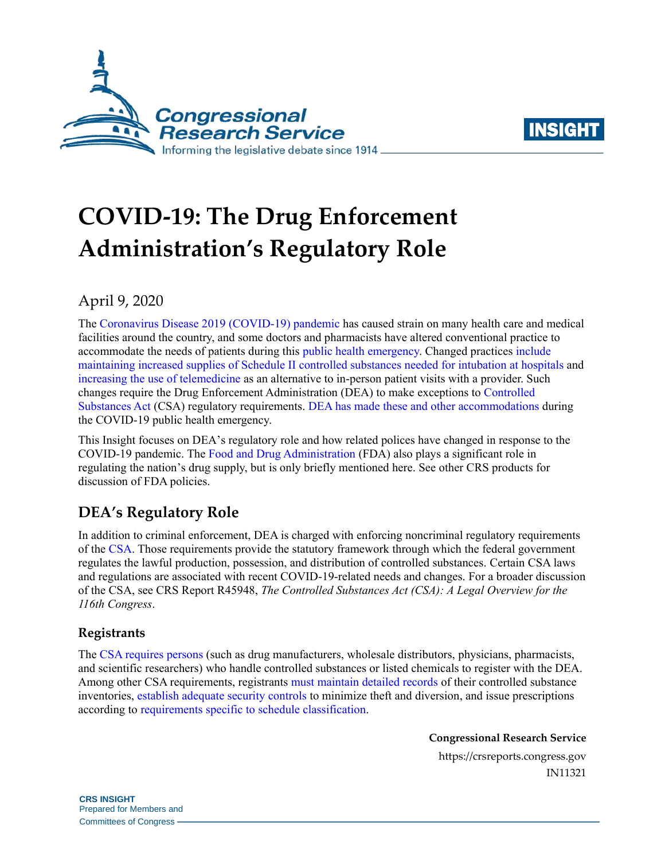



# **COVID-19: The Drug Enforcement Administration's Regulatory Role**

April 9, 2020

The [Coronavirus Disease 2019 \(COVID-19\) pandemic](https://www.who.int/) has caused strain on many health care and medical facilities around the country, and some doctors and pharmacists have altered conventional practice to accommodate the needs of patients during this [public health emergency.](https://www.hhs.gov/about/news/2020/01/31/secretary-azar-declares-public-health-emergency-us-2019-novel-coronavirus.html) Changed practices [include](https://qz.com/1827177/some-drugs-used-to-keep-people-on-ventilators-are-in-short-supply/)  [maintaining increased supplies of Schedule II controlled substances needed for intubation at hospitals](https://qz.com/1827177/some-drugs-used-to-keep-people-on-ventilators-are-in-short-supply/) and increasing the [use of telemedicine](https://www.ama-assn.org/delivering-care/ethics/providing-patient-care-remotely-pandemic) as an alternative to in-person patient visits with a provider. Such changes require the Drug Enforcement Administration (DEA) to make exceptions to [Controlled](https://crsreports.congress.gov/product/pdf/R/R45948)  [Substances Act](https://crsreports.congress.gov/product/pdf/R/R45948) (CSA) regulatory requirements. DEA has made these [and other accommodations d](https://www.deadiversion.usdoj.gov/coronavirus.html)uring the COVID-19 public health emergency.

This Insight focuses on DEA's regulatory role and how related polices have changed in response to the COVID-19 pandemic. The [Food and Drug Administration](https://www.fda.gov/) (FDA) also plays a significant role in regulating the nation's drug supply, but is only briefly mentioned here. See other CRS products for discussion of FDA policies.

# **DEA's Regulatory Role**

In addition to criminal enforcement, DEA is charged with enforcing noncriminal regulatory requirements of the [CSA.](https://www.deadiversion.usdoj.gov/21cfr/21usc/) Those requirements provide the statutory framework through which the federal government regulates the lawful production, possession, and distribution of controlled substances. Certain CSA laws and regulations are associated with recent COVID-19-related needs and changes. For a broader discussion of the CSA, see CRS Report R45948, *[The Controlled Substances Act \(CSA\): A Legal Overview for the](https://crsreports.congress.gov/product/pdf/R/R45948)  [116th Congress](https://crsreports.congress.gov/product/pdf/R/R45948)*.

## **Registrants**

The [CSA requires persons](https://www.deadiversion.usdoj.gov/21cfr/21usc/822.htm) (such as drug manufacturers, wholesale distributors, physicians, pharmacists, and scientific researchers) who handle controlled substances or listed chemicals to register with the DEA. Among other CSA requirements, registrants [must maintain detailed records](https://www.deadiversion.usdoj.gov/21cfr/21usc/827.htm) of their controlled substance inventories, [establish adequate security controls](https://www.deadiversion.usdoj.gov/21cfr/cfr/2101cfrt.htm) to minimize theft and diversion, and issue prescriptions according to [requirements specific to schedule classification.](https://www.deadiversion.usdoj.gov/21cfr/21usc/829.htm)

**Congressional Research Service**

https://crsreports.congress.gov IN11321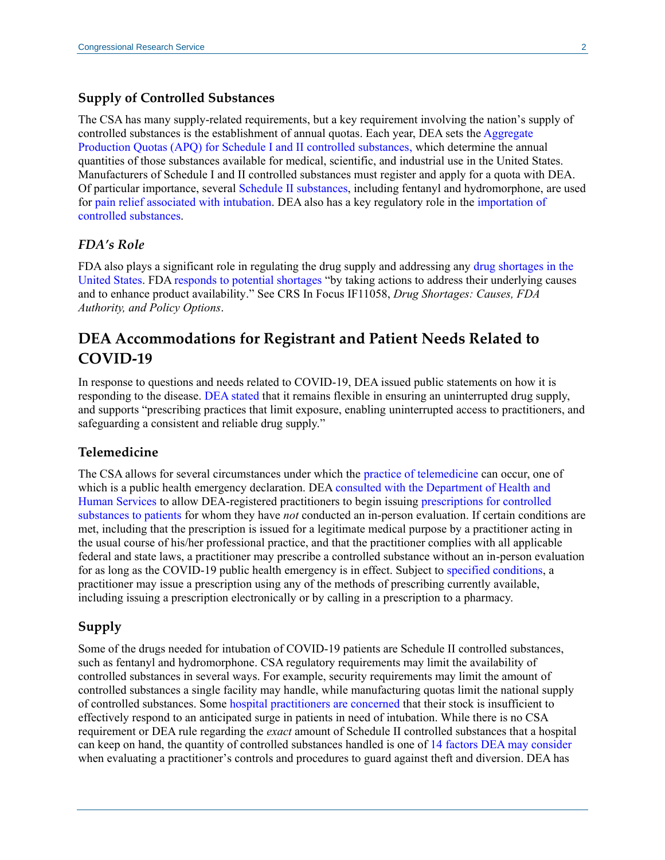#### **Supply of Controlled Substances**

The CSA has many supply-related requirements, but a key requirement involving the nation's supply of controlled substances is the establishment of annual quotas. Each year, DEA sets th[e Aggregate](https://www.deadiversion.usdoj.gov/quotas/index.html)  [Production Quotas \(APQ\) for Schedule I and II controlled substances,](https://www.deadiversion.usdoj.gov/quotas/index.html) which determine the annual quantities of those substances available for medical, scientific, and industrial use in the United States. Manufacturers of Schedule I and II controlled substances must register and apply for a quota with DEA. Of particular importance, several [Schedule II substances,](https://www.deadiversion.usdoj.gov/schedules/) including fentanyl and hydromorphone, are used for [pain relief associated with intubation.](https://www.ncbi.nlm.nih.gov/books/NBK507812/) DEA also has a key regulatory role in the [importation of](https://www.deadiversion.usdoj.gov/21cfr/21usc/952.htm)  [controlled substances.](https://www.deadiversion.usdoj.gov/21cfr/21usc/952.htm)

#### *FDA's Role*

FDA also plays a significant role in regulating the drug supply and addressing any [drug shortages in the](https://www.accessdata.fda.gov/scripts/drugshortages/)  [United States.](https://www.accessdata.fda.gov/scripts/drugshortages/) FD[A responds to potential shortages](https://www.fda.gov/drugs/drug-shortages/frequently-asked-questions-about-drug-shortages#q5) "by taking actions to address their underlying causes and to enhance product availability." See CRS In Focus IF11058, *[Drug Shortages: Causes, FDA](https://crsreports.congress.gov/product/pdf/IF/IF11058)  [Authority, and Policy Options](https://crsreports.congress.gov/product/pdf/IF/IF11058)*.

# **DEA Accommodations for Registrant and Patient Needs Related to COVID-19**

In response to questions and needs related to COVID-19, DEA issued public statements on how it is responding to the disease. [DEA stated](https://www.dea.gov/press-releases/2020/03/20/deas-response-covid-19) that it remains flexible in ensuring an uninterrupted drug supply, and supports "prescribing practices that limit exposure, enabling uninterrupted access to practitioners, and safeguarding a consistent and reliable drug supply."

#### **Telemedicine**

The CSA allows for several circumstances under which the [practice of telemedicine](https://www.deadiversion.usdoj.gov/21cfr/21usc/802.htm) can occur, one of which is a public health emergency declaration. DEA [consulted with the Department of Health and](https://www.dea.gov/press-releases/2020/03/20/deas-response-covid-19)  [Human Services](https://www.dea.gov/press-releases/2020/03/20/deas-response-covid-19) to allow DEA-registered practitioners to begin issuing [prescriptions for controlled](https://www.deadiversion.usdoj.gov/GDP/(DEA-DC-023)(DEA075)Decision_Tree_(Final)_33120_2007.pdf)  [substances to patients](https://www.deadiversion.usdoj.gov/GDP/(DEA-DC-023)(DEA075)Decision_Tree_(Final)_33120_2007.pdf) for whom they have *not* conducted an in-person evaluation. If certain conditions are met, including that the prescription is issued for a legitimate medical purpose by a practitioner acting in the usual course of his/her professional practice, and that the practitioner complies with all applicable federal and state laws, a practitioner may prescribe a controlled substance without an in-person evaluation for as long as the COVID-19 public health emergency is in effect. Subject to [specified conditions,](https://www.dea.gov/press-releases/2020/03/20/deas-response-covid-19) a practitioner may issue a prescription using any of the methods of prescribing currently available, including issuing a prescription electronically or by calling in a prescription to a pharmacy.

### **Supply**

Some of the drugs needed for intubation of COVID-19 patients are Schedule II controlled substances, such as fentanyl and hydromorphone. CSA regulatory requirements may limit the availability of controlled substances in several ways. For example, security requirements may limit the amount of controlled substances a single facility may handle, while manufacturing quotas limit the national supply of controlled substances. Some [hospital practitioners are concerned](https://qz.com/1827177/some-drugs-used-to-keep-people-on-ventilators-are-in-short-supply/) that their stock is insufficient to effectively respond to an anticipated surge in patients in need of intubation. While there is no CSA requirement or DEA rule regarding the *exact* amount of Schedule II controlled substances that a hospital can keep on hand, the quantity of controlled substances handled is one of 14 factors DEA [may consider](https://www.deadiversion.usdoj.gov/21cfr/cfr/1301/1301_71.htm) when evaluating a practitioner's controls and procedures to guard against theft and diversion. DEA has